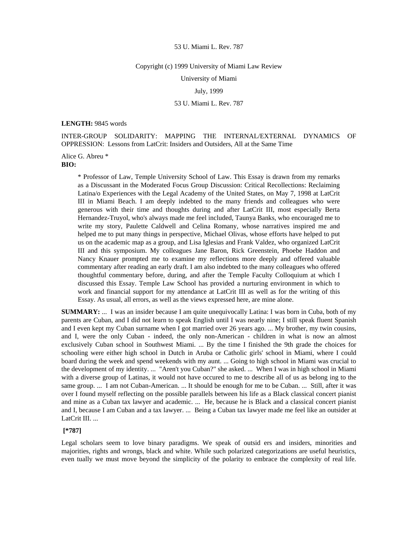### Copyright (c) 1999 University of Miami Law Review

University of Miami

July, 1999

# 53 U. Miami L. Rev. 787

#### **LENGTH:** 9845 words

INTER-GROUP SOLIDARITY: MAPPING THE INTERNAL/EXTERNAL DYNAMICS OF OPPRESSION: Lessons from LatCrit: Insiders and Outsiders, All at the Same Time

Alice G. Abreu \*

**BIO:** 

\* Professor of Law, Temple University School of Law. This Essay is drawn from my remarks as a Discussant in the Moderated Focus Group Discussion: Critical Recollections: Reclaiming Latina/o Experiences with the Legal Academy of the United States, on May 7, 1998 at LatCrit III in Miami Beach. I am deeply indebted to the many friends and colleagues who were generous with their time and thoughts during and after LatCrit III, most especially Berta Hernandez-Truyol, who's always made me feel included, Taunya Banks, who encouraged me to write my story, Paulette Caldwell and Celina Romany, whose narratives inspired me and helped me to put many things in perspective, Michael Olivas, whose efforts have helped to put us on the academic map as a group, and Lisa Iglesias and Frank Valdez, who organized LatCrit III and this symposium. My colleagues Jane Baron, Rick Greenstein, Phoebe Haddon and Nancy Knauer prompted me to examine my reflections more deeply and offered valuable commentary after reading an early draft. I am also indebted to the many colleagues who offered thoughtful commentary before, during, and after the Temple Faculty Colloquium at which I discussed this Essay. Temple Law School has provided a nurturing environment in which to work and financial support for my attendance at LatCrit III as well as for the writing of this Essay. As usual, all errors, as well as the views expressed here, are mine alone.

**SUMMARY:** ... I was an insider because I am quite unequivocally Latina: I was born in Cuba, both of my parents are Cuban, and I did not learn to speak English until I was nearly nine; I still speak fluent Spanish and I even kept my Cuban surname when I got married over 26 years ago. ... My brother, my twin cousins, and I, were the only Cuban - indeed, the only non-American - children in what is now an almost exclusively Cuban school in Southwest Miami. ... By the time I finished the 9th grade the choices for schooling were either high school in Dutch in Aruba or Catholic girls' school in Miami, where I could board during the week and spend weekends with my aunt. ... Going to high school in Miami was crucial to the development of my identity. ... "Aren't you Cuban?" she asked. ... When I was in high school in Miami with a diverse group of Latinas, it would not have occured to me to describe all of us as belong ing to the same group. ... I am not Cuban-American. ... It should be enough for me to be Cuban. ... Still, after it was over I found myself reflecting on the possible parallels between his life as a Black classical concert pianist and mine as a Cuban tax lawyer and academic. ... He, because he is Black and a classical concert pianist and I, because I am Cuban and a tax lawyer. ... Being a Cuban tax lawyer made me feel like an outsider at LatCrit III. ...

### **[\*787]**

Legal scholars seem to love binary paradigms. We speak of outsid ers and insiders, minorities and majorities, rights and wrongs, black and white. While such polarized categorizations are useful heuristics, even tually we must move beyond the simplicity of the polarity to embrace the complexity of real life.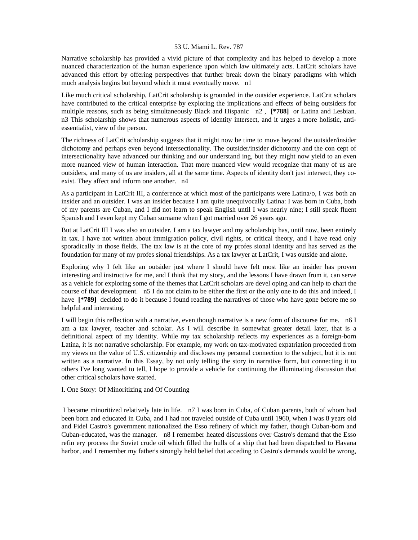Narrative scholarship has provided a vivid picture of that complexity and has helped to develop a more nuanced characterization of the human experience upon which law ultimately acts. LatCrit scholars have advanced this effort by offering perspectives that further break down the binary paradigms with which much analysis begins but beyond which it must eventually move. n1

Like much critical scholarship, LatCrit scholarship is grounded in the outsider experience. LatCrit scholars have contributed to the critical enterprise by exploring the implications and effects of being outsiders for multiple reasons, such as being simultaneously Black and Hispanic n2 , **[\*788]** or Latina and Lesbian. n3 This scholarship shows that numerous aspects of identity intersect, and it urges a more holistic, antiessentialist, view of the person.

The richness of LatCrit scholarship suggests that it might now be time to move beyond the outsider/insider dichotomy and perhaps even beyond intersectionality. The outsider/insider dichotomy and the con cept of intersectionality have advanced our thinking and our understand ing, but they might now yield to an even more nuanced view of human interaction. That more nuanced view would recognize that many of us are outsiders, and many of us are insiders, all at the same time. Aspects of identity don't just intersect, they coexist. They affect and inform one another. n4

As a participant in LatCrit III, a conference at which most of the participants were Latina/o, I was both an insider and an outsider. I was an insider because I am quite unequivocally Latina: I was born in Cuba, both of my parents are Cuban, and I did not learn to speak English until I was nearly nine; I still speak fluent Spanish and I even kept my Cuban surname when I got married over 26 years ago.

But at LatCrit III I was also an outsider. I am a tax lawyer and my scholarship has, until now, been entirely in tax. I have not written about immigration policy, civil rights, or critical theory, and I have read only sporadically in those fields. The tax law is at the core of my profes sional identity and has served as the foundation for many of my profes sional friendships. As a tax lawyer at LatCrit, I was outside and alone.

Exploring why I felt like an outsider just where I should have felt most like an insider has proven interesting and instructive for me, and I think that my story, and the lessons I have drawn from it, can serve as a vehicle for exploring some of the themes that LatCrit scholars are devel oping and can help to chart the course of that development. n5 I do not claim to be either the first or the only one to do this and indeed, I have  $[*/789]$  decided to do it because I found reading the narratives of those who have gone before me so helpful and interesting.

I will begin this reflection with a narrative, even though narrative is a new form of discourse for me. n6 I am a tax lawyer, teacher and scholar. As I will describe in somewhat greater detail later, that is a definitional aspect of my identity. While my tax scholarship reflects my experiences as a foreign-born Latina, it is not narrative scholarship. For example, my work on tax-motivated expatriation proceeded from my views on the value of U.S. citizenship and discloses my personal connection to the subject, but it is not written as a narrative. In this Essay, by not only telling the story in narrative form, but connecting it to others I've long wanted to tell, I hope to provide a vehicle for continuing the illuminating discussion that other critical scholars have started.

I. One Story: Of Minoritizing and Of Counting

 I became minoritized relatively late in life. n7 I was born in Cuba, of Cuban parents, both of whom had been born and educated in Cuba, and I had not traveled outside of Cuba until 1960, when I was 8 years old and Fidel Castro's government nationalized the Esso refinery of which my father, though Cuban-born and Cuban-educated, was the manager. n8 I remember heated discussions over Castro's demand that the Esso refin ery process the Soviet crude oil which filled the hulls of a ship that had been dispatched to Havana harbor, and I remember my father's strongly held belief that acceding to Castro's demands would be wrong,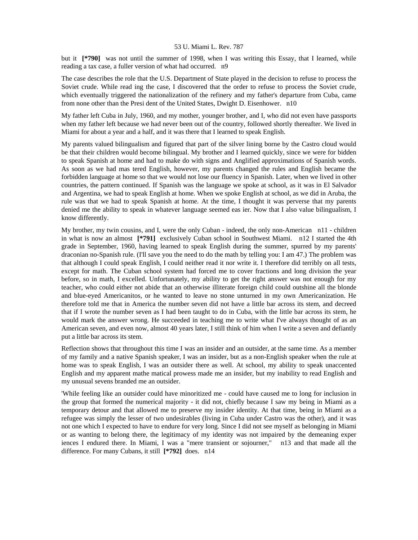but it **[\*790]** was not until the summer of 1998, when I was writing this Essay, that I learned, while reading a tax case, a fuller version of what had occurred. n9

The case describes the role that the U.S. Department of State played in the decision to refuse to process the Soviet crude. While read ing the case, I discovered that the order to refuse to process the Soviet crude, which eventually triggered the nationalization of the refinery and my father's departure from Cuba, came from none other than the Presi dent of the United States, Dwight D. Eisenhower. n10

My father left Cuba in July, 1960, and my mother, younger brother, and I, who did not even have passports when my father left because we had never been out of the country, followed shortly thereafter. We lived in Miami for about a year and a half, and it was there that I learned to speak English.

My parents valued bilingualism and figured that part of the silver lining borne by the Castro cloud would be that their children would become bilingual. My brother and I learned quickly, since we were for bidden to speak Spanish at home and had to make do with signs and Anglified approximations of Spanish words. As soon as we had mas tered English, however, my parents changed the rules and English became the forbidden language at home so that we would not lose our fluency in Spanish. Later, when we lived in other countries, the pattern continued. If Spanish was the language we spoke at school, as it was in El Salvador and Argentina, we had to speak English at home. When we spoke English at school, as we did in Aruba, the rule was that we had to speak Spanish at home. At the time, I thought it was perverse that my parents denied me the ability to speak in whatever language seemed eas ier. Now that I also value bilingualism, I know differently.

My brother, my twin cousins, and I, were the only Cuban - indeed, the only non-American n11 - children in what is now an almost **[\*791]** exclusively Cuban school in Southwest Miami. n12 I started the 4th grade in September, 1960, having learned to speak English during the summer, spurred by my parents' draconian no-Spanish rule. (I'll save you the need to do the math by telling you: I am 47.) The problem was that although I could speak English, I could neither read it nor write it. I therefore did terribly on all tests, except for math. The Cuban school system had forced me to cover fractions and long division the year before, so in math, I excelled. Unfortunately, my ability to get the right answer was not enough for my teacher, who could either not abide that an otherwise illiterate foreign child could outshine all the blonde and blue-eyed Americanitos, or he wanted to leave no stone unturned in my own Americanization. He therefore told me that in America the number seven did not have a little bar across its stem, and decreed that if I wrote the number seven as I had been taught to do in Cuba, with the little bar across its stem, he would mark the answer wrong. He succeeded in teaching me to write what I've always thought of as an American seven, and even now, almost 40 years later, I still think of him when I write a seven and defiantly put a little bar across its stem.

Reflection shows that throughout this time I was an insider and an outsider, at the same time. As a member of my family and a native Spanish speaker, I was an insider, but as a non-English speaker when the rule at home was to speak English, I was an outsider there as well. At school, my ability to speak unaccented English and my apparent mathe matical prowess made me an insider, but my inability to read English and my unusual sevens branded me an outsider.

'While feeling like an outsider could have minoritized me - could have caused me to long for inclusion in the group that formed the numerical majority - it did not, chiefly because I saw my being in Miami as a temporary detour and that allowed me to preserve my insider identity. At that time, being in Miami as a refugee was simply the lesser of two undesirables (living in Cuba under Castro was the other), and it was not one which I expected to have to endure for very long. Since I did not see myself as belonging in Miami or as wanting to belong there, the legitimacy of my identity was not impaired by the demeaning exper iences I endured there. In Miami, I was a "mere transient or sojourner," n13 and that made all the difference. For many Cubans, it still **[\*792]** does. n14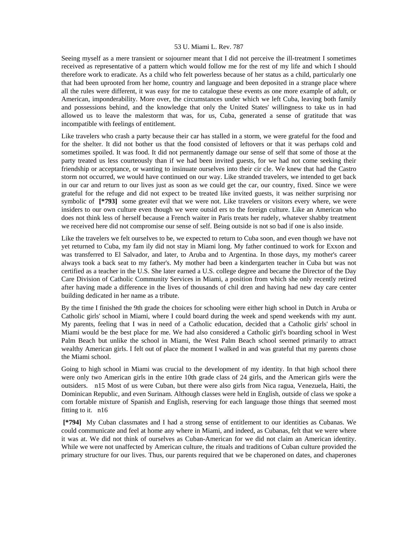Seeing myself as a mere transient or sojourner meant that I did not perceive the ill-treatment I sometimes received as representative of a pattern which would follow me for the rest of my life and which I should therefore work to eradicate. As a child who felt powerless because of her status as a child, particularly one that had been uprooted from her home, country and language and been deposited in a strange place where all the rules were different, it was easy for me to catalogue these events as one more example of adult, or American, imponderability. More over, the circumstances under which we left Cuba, leaving both family and possessions behind, and the knowledge that only the United States' willingness to take us in had allowed us to leave the malestorm that was, for us, Cuba, generated a sense of gratitude that was incompatible with feelings of entitlement.

Like travelers who crash a party because their car has stalled in a storm, we were grateful for the food and for the shelter. It did not bother us that the food consisted of leftovers or that it was perhaps cold and sometimes spoiled. It was food. It did not permanently damage our sense of self that some of those at the party treated us less courteously than if we had been invited guests, for we had not come seeking their friendship or acceptance, or wanting to insinuate ourselves into their cir cle. We knew that had the Castro storm not occurred, we would have continued on our way. Like stranded travelers, we intended to get back in our car and return to our lives just as soon as we could get the car, our country, fixed. Since we were grateful for the refuge and did not expect to be treated like invited guests, it was neither surprising nor symbolic of **[\*793]** some greater evil that we were not. Like travelers or visitors every where, we were insiders to our own culture even though we were outsid ers to the foreign culture. Like an American who does not think less of herself because a French waiter in Paris treats her rudely, whatever shabby treatment we received here did not compromise our sense of self. Being outside is not so bad if one is also inside.

Like the travelers we felt ourseIves to be, we expected to return to Cuba soon, and even though we have not yet returned to Cuba, my fam ily did not stay in Miami long. My father continued to work for Exxon and was transferred to El Salvador, and later, to Aruba and to Argentina. In those days, my mother's career always took a back seat to my father's. My mother had been a kindergarten teacher in Cuba but was not certified as a teacher in the U.S. She later earned a U.S. college degree and became the Director of the Day Care Division of Catholic Community Services in Miami, a position from which she only recently retired after having made a difference in the lives of thousands of chil dren and having had new day care center building dedicated in her name as a tribute.

By the time I finished the 9th grade the choices for schooling were either high school in Dutch in Aruba or Catholic girls' school in Miami, where I could board during the week and spend weekends with my aunt. My parents, feeling that I was in need of a Catholic education, decided that a Catholic girls' school in Miami would be the best place for me. We had also considered a Catholic girl's boarding school in West Palm Beach but unlike the school in Miami, the West Palm Beach school seemed primarily to attract wealthy American girls. I felt out of place the moment I walked in and was grateful that my parents chose the Miami school.

Going to high school in Miami was crucial to the development of my identity. In that high school there were only two American girls in the entire 10th grade class of 24 girls, and the American girls were the outsiders. n15 Most of us were Cuban, but there were also girls from Nica ragua, Venezuela, Haiti, the Dominican Republic, and even Surinam. Although classes were held in English, outside of class we spoke a com fortable mixture of Spanish and English, reserving for each language those things that seemed most fitting to it. n16

 **[\*794]** My Cuban classmates and I had a strong sense of entitlement to our identities as Cubanas. We could communicate and feel at home any where in Miami, and indeed, as Cubanas, felt that we were where it was at. We did not think of ourselves as Cuban-American for we did not claim an American identity. While we were not unaffected by American culture, the rituals and traditions of Cuban culture provided the primary structure for our lives. Thus, our parents required that we be chaperoned on dates, and chaperones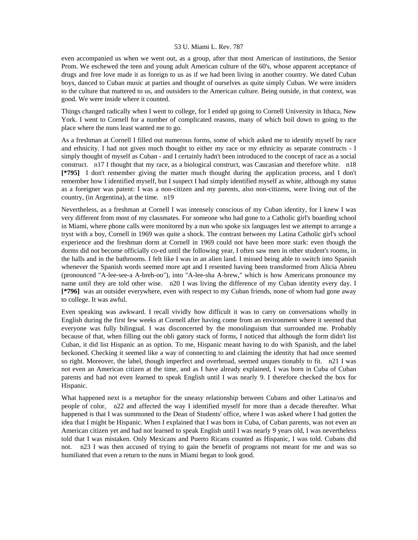even accompanied us when we went out, as a group, after that most American of institutions, the Senior Prom. We eschewed the teen and young adult American culture of the 60's, whose apparent acceptance of drugs and free love made it as foreign to us as if we had been living in another country. We dated Cuban boys, danced to Cuban music at parties and thought of ourselves as quite simply Cuban. We were insiders to the culture that mattered to us, and outsiders to the American culture. Being outside, in that context, was good. We were inside where it counted.

Things changed radically when I went to college, for I ended up going to Cornell University in Ithaca, New York. I went to Cornell for a number of complicated reasons, many of which boil down to going to the place where the nuns least wanted me to go.

As a freshman at Cornell I filled out numerous forms, some of which asked me to identify myself by race and ethnicity. I had not given much thought to either my race or my ethnicity as separate constructs - I simply thought of myself as Cuban - and I certainly hadn't been introduced to the concept of race as a social construct. n17 I thought that my race, as a biological construct, was Caucasian and therefore white. n18 **[\*795]** I don't remember giving the matter much thought during the application process, and I don't remember how I identified myself, but I suspect I had simply identified myself as white, although my status as a foreigner was patent: I was a non-citizen and my parents, also non-citizens, were living out of the country, (in Argentina), at the time. n19

Nevertheless, as a freshman at Cornell I was intensely conscious of my Cuban identity, for I knew I was very different from most of my classmates. For someone who had gone to a Catholic girl's boarding school in Miami, where phone calls were monitored by a nun who spoke six languages lest we attempt to arrange a tryst with a boy, Cornell in 1969 was quite a shock. The contrast between my Latina Catholic girl's school experience and the freshman dorm at Cornell in 1969 could not have been more stark: even though the dorms did not become officially co-ed until the following year, I often saw men in other student's rooms, in the halls and in the bathrooms. I felt like I was in an alien land. I missed being able to switch into Spanish whenever the Spanish words seemed more apt and I resented having been transformed from Alicia Abreu (pronounced "A-lee-see-a A-breh-oo"), into "A-lee-sha A-brew," which is how Americans pronounce my name until they are told other wise. n20 I was living the difference of my Cuban identity every day. I **[\*796]** was an outsider everywhere, even with respect to my Cuban friends, none of whom had gone away to college. It was awful.

Even speaking was awkward. I recall vividly how difficult it was to carry on conversations wholly in English during the first few weeks at Cornell after having come from an environment where it seemed that everyone was fully bilingual. I was disconcerted by the monolinguism that surrounded me. Probably because of that, when filling out the obli gatory stack of forms, I noticed that although the form didn't list Cuban, it did list Hispanic an as option. To me, Hispanic meant having to do with Spanish, and the label beckoned. Checking it seemed like a way of connecting to and claiming the identity that had once seemed so right. Moreover, the label, though imperfect and overbroad, seemed unques tionably to fit. n21 I was not even an American citizen at the time, and as I have already explained, I was born in Cuba of Cuban parents and had not even learned to speak English until I was nearly 9. I therefore checked the box for Hispanic.

What happened next is a metaphor for the uneasy relationship between Cubans and other Latina/os and people of color, n22 and affected the way I identified myself for more than a decade thereafter. What happened is that I was summoned to the Dean of Students' office, where I was asked where I had gotten the idea that I might be Hispanic. When I explained that I was born in Cuba, of Cuban parents, was not even an American citizen yet and had not learned to speak English until I was nearly 9 years old, I was nevertheless told that I was mistaken. Only Mexicans and Puerto Ricans counted as Hispanic, I was told. Cubans did not. n23 I was then accused of trying to gain the benefit of programs not meant for me and was so humiliated that even a return to the nuns in Miami began to look good.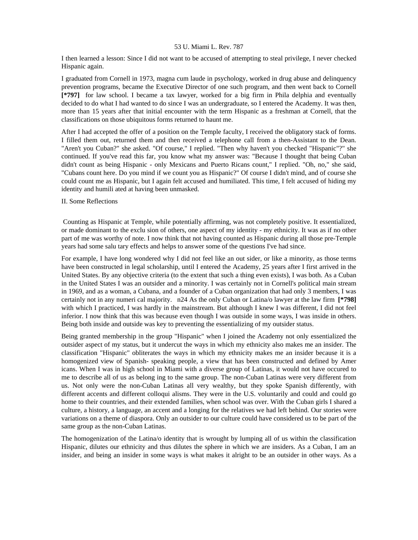I then learned a lesson: Since I did not want to be accused of attempting to steal privilege, I never checked Hispanic again.

I graduated from Cornell in 1973, magna cum laude in psychology, worked in drug abuse and delinquency prevention programs, became the Executive Director of one such program, and then went back to Cornell **[\*797]** for law school. I became a tax lawyer, worked for a big firm in Phila delphia and eventually decided to do what I had wanted to do since I was an undergraduate, so I entered the Academy. It was then, more than 15 years after that initial encounter with the term Hispanic as a freshman at Cornell, that the classifications on those ubiquitous forms returned to haunt me.

After I had accepted the offer of a position on the Temple faculty, I received the obligatory stack of forms. I filled them out, returned them and then received a telephone call from a then-Assistant to the Dean. "Aren't you Cuban?" she asked. "Of course," I replied. "Then why haven't you checked "Hispanic"?" she continued. If you've read this far, you know what my answer was: "Because I thought that being Cuban didn't count as being Hispanic - only Mexicans and Puerto Ricans count," I replied. "Oh, no," she said, "Cubans count here. Do you mind if we count you as Hispanic?" Of course I didn't mind, and of course she could count me as Hispanic, but I again felt accused and humiliated. This time, I felt accused of hiding my identity and humili ated at having been unmasked.

### II. Some Reflections

 Counting as Hispanic at Temple, while potentially affirming, was not completely positive. It essentialized, or made dominant to the exclu sion of others, one aspect of my identity - my ethnicity. It was as if no other part of me was worthy of note. I now think that not having counted as Hispanic during all those pre-Temple years had some salu tary effects and helps to answer some of the questions I've had since.

For example, I have long wondered why I did not feel like an out sider, or like a minority, as those terms have been constructed in legal scholarship, until I entered the Academy, 25 years after I first arrived in the United States. By any objective criteria (to the extent that such a thing even exists), I was both. As a Cuban in the United States I was an outsider and a minority. I was certainly not in Cornell's political main stream in 1969, and as a woman, a Cubana, and a founder of a Cuban organization that had only 3 members, I was certainly not in any numeri cal majority. n24 As the only Cuban or Latina/o lawyer at the law firm **[\*798]**  with which I practiced, I was hardly in the mainstream. But although I knew I was different, I did not feel inferior. I now think that this was because even though I was outside in some ways, I was inside in others. Being both inside and outside was key to preventing the essentializing of my outsider status.

Being granted membership in the group "Hispanic" when I joined the Academy not only essentialized the outsider aspect of my status, but it undercut the ways in which my ethnicity also makes me an insider. The classification "Hispanic" obliterates the ways in which my ethnicity makes me an insider because it is a homogenized view of Spanish- speaking people, a view that has been constructed and defined by Amer icans. When I was in high school in Miami with a diverse group of Latinas, it would not have occured to me to describe all of us as belong ing to the same group. The non-Cuban Latinas were very different from us. Not only were the non-Cuban Latinas all very wealthy, but they spoke Spanish differently, with different accents and different colloqui alisms. They were in the U.S. voluntarily and could and could go home to their countries, and their extended families, when school was over. With the Cuban girls I shared a culture, a history, a language, an accent and a longing for the relatives we had left behind. Our stories were variations on a theme of diaspora. Only an outsider to our culture could have considered us to be part of the same group as the non-Cuban Latinas.

The homogenization of the Latina/o identity that is wrought by lumping all of us within the classification Hispanic, dilutes our ethnicity and thus dilutes the sphere in which we are insiders. As a Cuban, I am an insider, and being an insider in some ways is what makes it alright to be an outsider in other ways. As a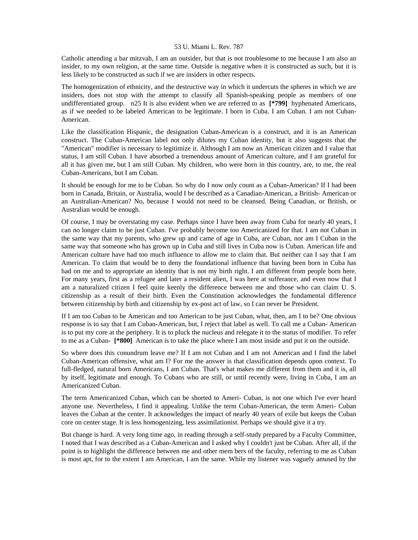Catholic attending a bar mitzvah, I am an outsider, but that is not troublesome to me because I am also an insider, to my own religion, at the same time. Outside is negative when it is constructed as such, but it is less likely to be constructed as such if we are insiders in other respects.

The homogenization of ethnicity, and the destructive way in which it undercuts the spheres in which we are insiders, does not stop with the attempt to classify all Spanish-speaking people as members of one undifferentiated group. n25 It is also evident when we are referred to as **[\*799]** hyphenated Americans, as if we needed to be labeled American to be legitimate. I born in Cuba. I am Cuban. I am not Cuban-American.

Like the classification Hispanic, the designation Cuban-American is a construct, and it is an American construct. The Cuban-American label not only dilutes my Cuban identity, but it also suggests that the "American" modifier is necessary to legitimize it. Although I am now an American citizen and I value that status, I am still Cuban. I have absorbed a tremendous amount of American culture, and I am grateful for all it has given me, but I am still Cuban. My children, who were born in this country, are, to me, the real Cuban-Americans, but I am Cuban.

It should be enough for me to be Cuban. So why do I now only count as a Cuban-American? If I had been born in Canada, Britain, or Australia, would I be described as a Canadian-American, a British- American or an Australian-American? No, because I would not need to be cleansed. Being Canadian, or British, or Australian would be enough.

Of course, I may be overstating my case. Perhaps since I have been away from Cuba for nearly 40 years, I can no longer claim to be just Cuban. I've probably become too Americanized for that. I am not Cuban in the same way that my parents, who grew up and came of age in Cuba, are Cuban, nor am I Cuban in the same way that someone who has grown up in Cuba and still lives in Cuba now is Cuban. American life and American culture have had too much influence to allow me to claim that. But neither can I say that I am American. To claim that would be to deny the foundational influence that having been born in Cuba has had on me and to appropriate an identity that is not my birth right. I am different from people born here. For many years, first as a refugee and later a resident alien, I was here at sufferance, and even now that I am a naturalized citizen I feel quite keenly the difference between me and those who can claim U. S. citizenship as a result of their birth. Even the Constitution acknowledges the fundamental difference between citizenship by birth and citizenship by ex-post act of law, so I can never be President.

If I am too Cuban to be American and too American to be just Cuban, what, then, am I to be? One obvious response is to say that I am Cuban-American, but, I reject that label as well. To call me a Cuban- American is to put my core at the periphery. It is to pluck the nucleus and relegate it to the status of modifier. To refer to me as a Cuban- **[\*800]** American is to take the place where I am most inside and put it on the outside.

So where does this conundrum leave me? If I am not Cuban and I am not American and I find the label Cuban-American offensive, what am I? For me the answer is that classification depends upon context. To full-fledged, natural born Americans, I am Cuban. That's what makes me different from them and it is, all by itself, legitimate and enough. To Cubans who are still, or until recently were, living in Cuba, I am an Americanized Cuban.

The term Americanized Cuban, which can be shorted to Ameri- Cuban, is not one which I've ever heard anyone use. Nevertheless, I find it appealing. Unlike the term Cuban-American, the term Ameri- Cuban leaves the Cuban at the center. It acknowledges the impact of nearly 40 years of exile but keeps the Cuban core on center stage. It is less homogenizing, less assimilationist. Perhaps we should give it a try.

But change is hard. A very long time ago, in reading through a self-study prepared by a Faculty Committee, I noted that I was described as a Cuban-American and I asked why I couldn't just be Cuban. After all, if the point is to highlight the difference between me and other mem bers of the faculty, referring to me as Cuban is most apt, for to the extent I am American, I am the same. While my listener was vaguely amused by the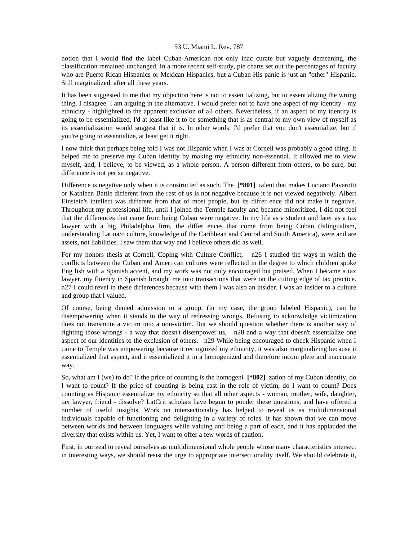notion that I would find the label Cuban-American not only inac curate but vaguely demeaning, the classification remained unchanged. In a more recent self-study, pie charts set out the percentages of faculty who are Puerto Rican Hispanics or Mexican Hispanics, but a Cuban His panic is just an "other" Hispanic. Still marginalized, after all these years.

It has been suggested to me that my objection here is not to essen tializing, but to essentializing the wrong thing. I disagree. I am arguing in the alternative. I would prefer not to have one aspect of my identity - my ethnicity - highlighted to the apparent exclusion of all others. Nevertheless, if an aspect of my identity is going to be essentialized, I'd at least like it to be something that is as central to my own view of myself as its essentialization would suggest that it is. In other words: I'd prefer that you don't essentialize, but if you're going to essentialize, at least get it right.

I now think that perhaps being told I was not Hispanic when I was at Cornell was probably a good thing. It helped me to preserve my Cuban identity by making my ethnicity non-essential. It allowed me to view myself, and, I believe, to be viewed, as a whole person. A person different from others, to be sure, but difference is not per se negative.

Difference is negative only when it is constructed as such. The **[\*801]** talent that makes Luciano Pavarotti or Kathleen Battle different from the rest of us is not negative because it is not viewed negatively. Albert Einstein's intellect was different from that of most people, but its differ ence did not make it negative. Throughout my professional life, until I joined the Temple faculty and became minoritized, I did not feel that the differences that came from being Cuban were negative. In my life as a student and later as a tax lawyer with a big Philadelphia firm, the differ ences that come from being Cuban (bilingualism, understanding Latina/o culture, knowledge of the Caribbean and Central and South America), were and are assets, not liabilities. I saw them that way and I believe others did as well.

For my honors thesis at Cornell, Coping with Culture Conflict, n26 I studied the ways in which the conflicts between the Cuban and Ameri can cultures were reflected in the degree to which children spoke Eng lish with a Spanish accent, and my work was not only encouraged but praised. When I became a tax lawyer, my fluency in Spanish brought me into transactions that were on the cutting edge of tax practice. n27 I could revel in these differences because with them I was also an insider. I was an insider to a culture and group that I valued.

Of course, being denied admission to a group, (in my case, the group labeled Hispanic), can be disempowering when it stands in the way of redressing wrongs. Refusing to acknowledge victimization does not transmute a victim into a non-victim. But we should question whether there is another way of righting those wrongs - a way that doesn't disempower us, n28 and a way that doesn't essentialize one aspect of our identities to the exclusion of others. n29 While being encouraged to check Hispanic when I came to Temple was empowering because it rec ognized my ethnicity, it was also marginalizing because it essentialized that aspect, and it essentialized it in a homogenized and therefore incom plete and inaccurate way.

So, what am I (we) to do? If the price of counting is the homogeni **[\*802]** zation of my Cuban identity, do I want to count? If the price of counting is being cast in the role of victim, do I want to count? Does counting as Hispanic essentialize my ethnicity so that all other aspects - woman, mother, wife, daughter, tax lawyer, friend - dissolve? LatCrit scholars have begun to ponder these questions, and have offered a number of useful insights. Work on intersectionality has helped to reveal us as multidimensional individuals capable of functioning and delighting in a variety of roles. It has shown that we can move between worlds and between languages while valuing and being a part of each, and it has applauded the diversity that exists within us. Yet, I want to offer a few words of caution.

First, in our zeal to reveal ourselves as multidimensional whole people whose many characteristics intersect in interesting ways, we should resist the urge to appropriate intersectionality itself. We should celebrate it,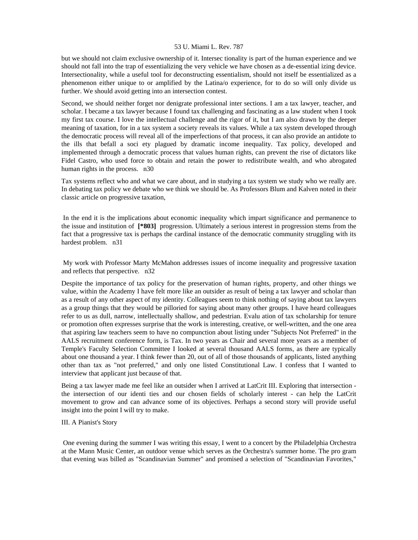but we should not claim exclusive ownership of it. Intersec tionality is part of the human experience and we should not fall into the trap of essentializing the very vehicle we have chosen as a de-essential izing device. Intersectionality, while a useful tool for deconstructing essentialism, should not itself be essentialized as a phenomenon either unique to or amplified by the Latina/o experience, for to do so will only divide us further. We should avoid getting into an intersection contest.

Second, we should neither forget nor denigrate professional inter sections. I am a tax lawyer, teacher, and scholar. I became a tax lawyer because I found tax challenging and fascinating as a law student when I took my first tax course. I love the intellectual challenge and the rigor of it, but I am also drawn by the deeper meaning of taxation, for in a tax system a society reveals its values. While a tax system developed through the democratic process will reveal all of the imperfections of that process, it can also provide an antidote to the ills that befall a soci ety plagued by dramatic income inequality. Tax policy, developed and implemented through a democratic process that values human rights, can prevent the rise of dictators like Fidel Castro, who used force to obtain and retain the power to redistribute wealth, and who abrogated human rights in the process. n30

Tax systems reflect who and what we care about, and in studying a tax system we study who we really are. In debating tax policy we debate who we think we should be. As Professors Blum and Kalven noted in their classic article on progressive taxation,

 In the end it is the implications about economic inequality which impart significance and permanence to the issue and institution of **[\*803]** progression. Ultimately a serious interest in progression stems from the fact that a progressive tax is perhaps the cardinal instance of the democratic community struggling with its hardest problem. n31

 My work with Professor Marty McMahon addresses issues of income inequality and progressive taxation and reflects that perspective. n32

Despite the importance of tax policy for the preservation of human rights, property, and other things we value, within the Academy I have felt more like an outsider as result of being a tax lawyer and scholar than as a result of any other aspect of my identity. Colleagues seem to think nothing of saying about tax lawyers as a group things that they would be pilloried for saying about many other groups. I have heard colleagues refer to us as dull, narrow, intellectually shallow, and pedestrian. Evalu ation of tax scholarship for tenure or promotion often expresses surprise that the work is interesting, creative, or well-written, and the one area that aspiring law teachers seem to have no compunction about listing under "Subjects Not Preferred" in the AALS recruitment conference form, is Tax. In two years as Chair and several more years as a member of Temple's Faculty Selection Committee I looked at several thousand AALS forms, as there are typically about one thousand a year. I think fewer than 20, out of all of those thousands of applicants, listed anything other than tax as "not preferred," and only one listed Constitutional Law. I confess that I wanted to interview that applicant just because of that.

Being a tax lawyer made me feel like an outsider when I arrived at LatCrit III. Exploring that intersection the intersection of our identi ties and our chosen fields of scholarly interest - can help the LatCrit movement to grow and can advance some of its objectives. Perhaps a second story will provide useful insight into the point I will try to make.

# III. A Pianist's Story

 One evening during the summer I was writing this essay, I went to a concert by the Philadelphia Orchestra at the Mann Music Center, an outdoor venue which serves as the Orchestra's summer home. The pro gram that evening was billed as "Scandinavian Summer" and promised a selection of "Scandinavian Favorites,"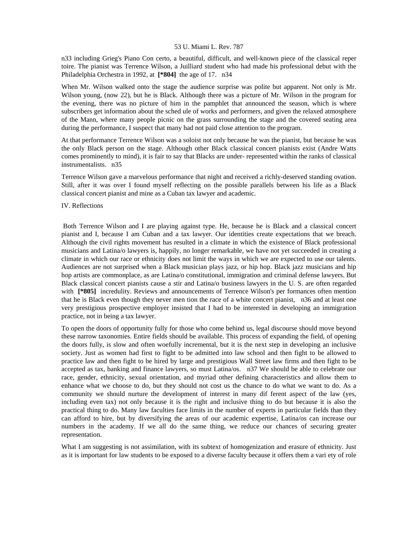n33 including Grieg's Piano Con certo, a beautiful, difficult, and well-known piece of the classical reper toire. The pianist was Terrence Wilson, a Juilliard student who had made his professional debut with the Philadelphia Orchestra in 1992, at **[\*804]** the age of 17. n34

When Mr. Wilson walked onto the stage the audience surprise was polite but apparent. Not only is Mr. Wilson young, (now 22), but he is Black. Although there was a picture of Mr. Wilson in the program for the evening, there was no picture of him in the pamphlet that announced the season, which is where subscribers get information about the sched ule of works and performers, and given the relaxed atmosphere of the Mann, where many people picnic on the grass surrounding the stage and the covered seating area during the performance, I suspect that many had not paid close attention to the program.

At that performance Terrence Wilson was a soloist not only because he was the pianist, but because he was the only Black person on the stage. Although other Black classical concert pianists exist (Andre Watts comes prominently to mind), it is fair to say that Blacks are under- represented within the ranks of classical instrumentalists. n35

Terrence Wilson gave a marvelous performance that night and received a richly-deserved standing ovation. Still, after it was over I found myself reflecting on the possible parallels between his life as a Black classical concert pianist and mine as a Cuban tax lawyer and academic.

IV. Reflections

 Both Terrence Wilson and I are playing against type. He, because he is Black and a classical concert pianist and I, because I am Cuban and a tax lawyer. Our identities create expectations that we breach. Although the civil rights movement has resulted in a climate in which the existence of Black professional musicians and Latina/o lawyers is, happily, no longer remarkable, we have not yet succeeded in creating a climate in which our race or ethnicity does not limit the ways in which we are expected to use our talents. Audiences are not surprised when a Black musician plays jazz, or hip hop. Black jazz musicians and hip hop artists are commonplace, as are Latina/o constitutional, immigration and criminal defense lawyers. But Black classical concert pianists cause a stir and Latina/o business lawyers in the U. S. are often regarded with **[\*805]** incredulity. Reviews and announcements of Terrence Wilson's per formances often mention that he is Black even though they never men tion the race of a white concert pianist, n36 and at least one very prestigious prospective employer insisted that I had to be interested in developing an immigration practice, not in being a tax lawyer.

To open the doors of opportunity fully for those who come behind us, legal discourse should move beyond these narrow taxonomies. Entire fields should be available. This process of expanding the field, of opening the doors fully, is slow and often woefully incremental, but it is the next step in developing an inclusive society. Just as women had first to fight to be admitted into law school and then fight to be allowed to practice law and then fight to be hired by large and prestigious Wall Street law firms and then fight to be accepted as tax, banking and finance lawyers, so must Latina/os. n37 We should be able to celebrate our race, gender, ethnicity, sexual orientation, and myriad other defining characteristics and allow them to enhance what we choose to do, but they should not cost us the chance to do what we want to do. As a community we should nurture the development of interest in many dif ferent aspect of the law (yes, including even tax) not only because it is the right and inclusive thing to do but because it is also the practical thing to do. Many law faculties face limits in the number of experts in particular fields than they can afford to hire, but by diversifying the areas of our academic expertise, Latina/os can increase our numbers in the academy. If we all do the same thing, we reduce our chances of securing greater representation.

What I am suggesting is not assimilation, with its subtext of homogenization and erasure of ethnicity. Just as it is important for law students to be exposed to a diverse faculty because it offers them a vari ety of role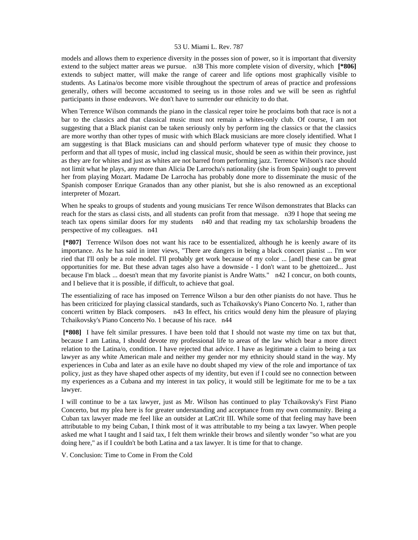models and allows them to experience diversity in the posses sion of power, so it is important that diversity extend to the subject matter areas we pursue. n38 This more complete vision of diversity, which **[\*806]**  extends to subject matter, will make the range of career and life options most graphically visible to students. As Latina/os become more visible throughout the spectrum of areas of practice and professions generally, others will become accustomed to seeing us in those roles and we will be seen as rightful participants in those endeavors. We don't have to surrender our ethnicity to do that.

When Terrence Wilson commands the piano in the classical reper toire he proclaims both that race is not a bar to the classics and that classical music must not remain a whites-only club. Of course, I am not suggesting that a Black pianist can be taken seriously only by perform ing the classics or that the classics are more worthy than other types of music with which Black musicians are more closely identified. What I am suggesting is that Black musicians can and should perform whatever type of music they choose to perform and that all types of music, includ ing classical music, should be seen as within their province, just as they are for whites and just as whites are not barred from performing jazz. Terrence Wilson's race should not limit what he plays, any more than Alicia De Larrocha's nationality (she is from Spain) ought to prevent her from playing Mozart. Madame De Larrocha has probably done more to disseminate the music of the Spanish composer Enrique Granados than any other pianist, but she is also renowned as an exceptional interpreter of Mozart.

When he speaks to groups of students and young musicians Ter rence Wilson demonstrates that Blacks can reach for the stars as classi cists, and all students can profit from that message. n39 I hope that seeing me teach tax opens similar doors for my students n40 and that reading my tax scholarship broadens the perspective of my colleagues. n41

 **[\*807]** Terrence Wilson does not want his race to be essentialized, although he is keenly aware of its importance. As he has said in inter views, "There are dangers in being a black concert pianist ... I'm wor ried that I'll only be a role model. I'll probably get work because of my color ... [and] these can be great opportunities for me. But these advan tages also have a downside - I don't want to be ghettoized... Just because I'm black ... doesn't mean that my favorite pianist is Andre Watts." n42 I concur, on both counts, and I believe that it is possible, if difficult, to achieve that goal.

The essentializing of race has imposed on Terrence Wilson a bur den other pianists do not have. Thus he has been criticized for playing classical standards, such as Tchaikovsky's Piano Concerto No. 1, rather than concerti written by Black composers. n43 In effect, his critics would deny him the pleasure of playing Tchaikovsky's Piano Concerto No. 1 because of his race. n44

 **[\*808]** I have felt similar pressures. I have been told that I should not waste my time on tax but that, because I am Latina, I should devote my professional life to areas of the law which bear a more direct relation to the Latina/o, condition. I have rejected that advice. I have as legitimate a claim to being a tax lawyer as any white American male and neither my gender nor my ethnicity should stand in the way. My experiences in Cuba and later as an exile have no doubt shaped my view of the role and importance of tax policy, just as they have shaped other aspects of my identity, but even if I could see no connection between my experiences as a Cubana and my interest in tax policy, it would still be legitimate for me to be a tax lawyer.

I will continue to be a tax lawyer, just as Mr. Wilson has continued to play Tchaikovsky's First Piano Concerto, but my plea here is for greater understanding and acceptance from my own community. Being a Cuban tax lawyer made me feel like an outsider at LatCrit III. While some of that feeling may have been attributable to my being Cuban, I think most of it was attributable to my being a tax lawyer. When people asked me what I taught and I said tax, I felt them wrinkle their brows and silently wonder "so what are you doing here," as if I couldn't be both Latina and a tax lawyer. It is time for that to change.

V. Conclusion: Time to Come in From the Cold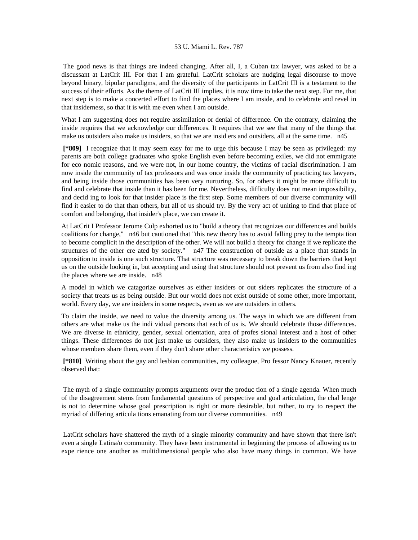The good news is that things are indeed changing. After all, I, a Cuban tax lawyer, was asked to be a discussant at LatCrit III. For that I am grateful. LatCrit scholars are nudging legal discourse to move beyond binary, bipolar paradigms, and the diversity of the participants in LatCrit III is a testament to the success of their efforts. As the theme of LatCrit III implies, it is now time to take the next step. For me, that next step is to make a concerted effort to find the places where I am inside, and to celebrate and revel in that insiderness, so that it is with me even when I am outside.

What I am suggesting does not require assimilation or denial of difference. On the contrary, claiming the inside requires that we acknowledge our differences. It requires that we see that many of the things that make us outsiders also make us insiders, so that we are insid ers and outsiders, all at the same time. n45

 **[\*809]** I recognize that it may seem easy for me to urge this because I may be seen as privileged: my parents are both college graduates who spoke English even before becoming exiles, we did not emmigrate for eco nomic reasons, and we were not, in our home country, the victims of racial discrimination. I am now inside the community of tax professors and was once inside the community of practicing tax lawyers, and being inside those communities has been very nurturing. So, for others it might be more difficult to find and celebrate that inside than it has been for me. Nevertheless, difficulty does not mean impossibility, and decid ing to look for that insider place is the first step. Some members of our diverse community will find it easier to do that than others, but all of us should try. By the very act of uniting to find that place of comfort and belonging, that insider's place, we can create it.

At LatCrit I Professor Jerome Culp exhorted us to "build a theory that recognizes our differences and builds coalitions for change," n46 but cautioned that "this new theory has to avoid falling prey to the tempta tion to become complicit in the description of the other. We will not build a theory for change if we replicate the structures of the other cre ated by society." n47 The construction of outside as a place that stands in opposition to inside is one such structure. That structure was necessary to break down the barriers that kept us on the outside looking in, but accepting and using that structure should not prevent us from also find ing the places where we are inside. n48

A model in which we catagorize ourselves as either insiders or out siders replicates the structure of a society that treats us as being outside. But our world does not exist outside of some other, more important, world. Every day, we are insiders in some respects, even as we are outsiders in others.

To claim the inside, we need to value the diversity among us. The ways in which we are different from others are what make us the indi vidual persons that each of us is. We should celebrate those differences. We are diverse in ethnicity, gender, sexual orientation, area of profes sional interest and a host of other things. These differences do not just make us outsiders, they also make us insiders to the communities whose members share them, even if they don't share other characteristics we possess.

 **[\*810]** Writing about the gay and lesbian communities, my colleague, Pro fessor Nancy Knauer, recently observed that:

 The myth of a single community prompts arguments over the produc tion of a single agenda. When much of the disagreement stems from fundamental questions of perspective and goal articulation, the chal lenge is not to determine whose goal prescription is right or more desirable, but rather, to try to respect the myriad of differing articula tions emanating from our diverse communities. n49

 LatCrit scholars have shattered the myth of a single minority community and have shown that there isn't even a single Latina/o community. They have been instrumental in beginning the process of allowing us to expe rience one another as multidimensional people who also have many things in common. We have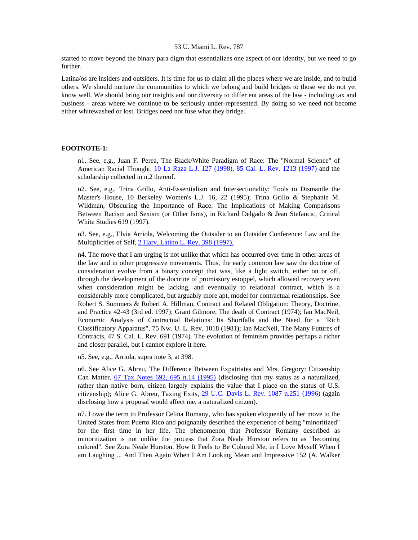started to move beyond the binary para digm that essentializes one aspect of our identity, but we need to go further.

Latina/os are insiders and outsiders. It is time for us to claim all the places where we are inside, and to build others. We should nurture the communities to which we belong and build bridges to those we do not yet know well. We should bring our insights and our diversity to differ ent areas of the law - including tax and business - areas where we continue to be seriously under-represented. By doing so we need not become either whitewashed or lost. Bridges need not fuse what they bridge.

# **FOOTNOTE-1:**

n1. See, e.g., Juan F. Perea, The Black/White Paradigm of Race: The "Normal Science" of American Racial Thought, [10 La Raza L.J. 127 \(1998\), 85 Cal. L. Rev. 1213 \(1997\)](http://www.lexis.com/research/xlink?searchtype=get&search=10%20La%20Raza%20L.J.%20127) and the scholarship collected in n.2 thereof.

n2. See, e.g., Trina Grillo, Anti-Essentialism and Intersectionality: Tools to Dismantle the Master's House, 10 Berkeley Women's L.J. 16, 22 (1995); Trina Grillo & Stephanie M. Wildman, Obscuring the Importance of Race: The Implications of Making Comparisons Between Racism and Sexism (or Other Isms), in Richard Delgado & Jean Stefancic, Critical White Studies 619 (1997).

n3. See, e.g., Elvia Arriola, Welcoming the Outsider to an Outsider Conference: Law and the Multiplicities of Self, [2 Harv. Latino L. Rev. 398 \(1997\).](http://www.lexis.com/research/xlink?searchtype=get&search=2%20Harv.%20Latino%20L.%20Rev.%20398)

n4. The move that I am urging is not unlike that which has occurred over time in other areas of the law and in other progressive movements. Thus, the early common law saw the doctrine of consideration evolve from a binary concept that was, like a light switch, either on or off, through the development of the doctrine of promissory estoppel, which allowed recovery even when consideration might be lacking, and eventually to relational contract, which is a considerably more complicated, but arguably more apt, model for contractual relationships. See Robert S. Summers & Robert A. Hillman, Contract and Related Obligation: Theory, Doctrine, and Practice 42-43 (3rd ed. 1997); Grant Gilmore, The death of Contract (1974); Ian MacNeil, Economic Analysis of Contractual Relations: Its Shortfalls and the Need for a "Rich Classificatory Apparatus", 75 Nw. U. L. Rev. 1018 (1981); Ian MacNeil, The Many Futures of Contracts, 47 S. Cal. L. Rev. 691 (1974). The evolution of feminism provides perhaps a richer and closer parallel, but I cannot explore it here.

n5. See, e.g., Arriola, supra note 3, at 398.

n6. See Alice G. Abreu, The Difference Between Expatriates and Mrs. Gregory: Citizenship Can Matter, [67 Tax Notes 692, 695 n.14 \(1995\)](http://www.lexis.com/research/xlink?searchtype=get&search=67%20Tax%20Notes%20692,at%20695) (disclosing that my status as a naturalized, rather than native born, citizen largely explains the value that I place on the status of U.S. citizenship); Alice G. Abreu, Taxing Exits, [29 U.C. Davis L. Rev. 1087 n.251 \(1996\)](http://www.lexis.com/research/xlink?searchtype=get&search=29%20U.C.%20Davis%20L.%20Rev.%201087) (again disclosing how a proposal would affect me, a naturalized citizen).

n7. I owe the term to Professor Celina Romany, who has spoken eloquently of her move to the United States from Puerto Rico and poignantly described the experience of being "minoritized" for the first time in her life. The phenomenon that Professor Romany described as minoritization is not unlike the process that Zora Neale Hurston refers to as "becoming colored". See Zora Neale Hurston, How It Feels to Be Colored Me, in I Love Myself When I am Laughing ... And Then Again When I Am Looking Mean and Impressive 152 (A. Walker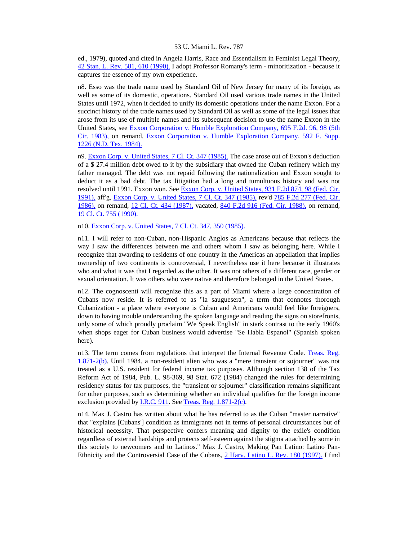ed., 1979), quoted and cited in Angela Harris, Race and Essentialism in Feminist Legal Theory, [42 Stan. L. Rev. 581, 610 \(1990\).](http://www.lexis.com/research/xlink?searchtype=get&search=42%20Stan.%20L.%20Rev.%20581,at%20610) I adopt Professor Romany's term - minoritization - because it captures the essence of my own experience.

n8. Esso was the trade name used by Standard Oil of New Jersey for many of its foreign, as well as some of its domestic, operations. Standard Oil used various trade names in the United States until 1972, when it decided to unify its domestic operations under the name Exxon. For a succinct history of the trade names used by Standard Oil as well as some of the legal issues that arose from its use of multiple names and its subsequent decision to use the name Exxon in the United States, see [Exxon Corporation v. Humble Exploration Company, 695 F.2d. 96, 98 \(5th](http://www.lexis.com/research/xlink?searchtype=get&search=695%20F.2d%2096,at%2098)  [Cir. 1983\),](http://www.lexis.com/research/xlink?searchtype=get&search=695%20F.2d%2096,at%2098) on remand, [Exxon Corporation v. Humble Exploration Company, 592 F. Supp.](http://www.lexis.com/research/xlink?searchtype=get&search=592%20F.%20Supp.%201226)  [1226 \(N.D. Tex. 1984\).](http://www.lexis.com/research/xlink?searchtype=get&search=592%20F.%20Supp.%201226)

n9. [Exxon Corp. v. United States, 7 Cl. Ct. 347 \(1985\).](http://www.lexis.com/research/xlink?searchtype=get&search=7%20Cl.%20Ct.%20347) The case arose out of Exxon's deduction of a \$ 27.4 million debt owed to it by the subsidiary that owned the Cuban refinery which my father managed. The debt was not repaid following the nationalization and Exxon sought to deduct it as a bad debt. The tax litigation had a long and tumultuous history and was not resolved until 1991. Exxon won. See [Exxon Corp. v. United States, 931 F.2d 874, 98 \(Fed. Cir.](http://www.lexis.com/research/xlink?searchtype=get&search=931%20F.2d%20874,at%2098)  [1991\),](http://www.lexis.com/research/xlink?searchtype=get&search=931%20F.2d%20874,at%2098) aff'g, [Exxon Corp. v. United States, 7 Cl. Ct. 347 \(1985\),](http://www.lexis.com/research/xlink?searchtype=get&search=7%20Cl.%20Ct.%20347) rev'd [785 F.2d 277 \(Fed. Cir.](http://www.lexis.com/research/xlink?searchtype=get&search=785%20F.2d%20277)  [1986\),](http://www.lexis.com/research/xlink?searchtype=get&search=785%20F.2d%20277) on remand, [12 Cl. Ct. 434 \(1987\),](http://www.lexis.com/research/xlink?searchtype=get&search=12%20Cl.%20Ct.%20434) vacated, [840 F.2d 916 \(Fed. Cir. 1988\),](http://www.lexis.com/research/xlink?searchtype=get&search=840%20F.2d%20916) on remand, [19 Cl. Ct. 755 \(1990\).](http://www.lexis.com/research/xlink?searchtype=get&search=19%20Cl.%20Ct.%20755)

n10. [Exxon Corp. v. United States, 7 Cl. Ct. 347, 350 \(1985\).](http://www.lexis.com/research/xlink?searchtype=get&search=7%20Cl.%20Ct.%20347,at%20350)

n11. I will refer to non-Cuban, non-Hispanic Anglos as Americans because that reflects the way I saw the differences between me and others whom I saw as belonging here. While I recognize that awarding to residents of one country in the Americas an appellation that implies ownership of two continents is controversial, I nevertheless use it here because it illustrates who and what it was that I regarded as the other. It was not others of a different race, gender or sexual orientation. It was others who were native and therefore belonged in the United States.

n12. The cognoscenti will recognize this as a part of Miami where a large concentration of Cubans now reside. It is referred to as "la sauguesera", a term that connotes thorough Cubanization - a place where everyone is Cuban and Americans would feel like foreigners, down to having trouble understanding the spoken language and reading the signs on storefronts, only some of which proudly proclaim "We Speak English" in stark contrast to the early 1960's when shops eager for Cuban business would advertise "Se Habla Espanol" (Spanish spoken here).

n13. The term comes from regulations that interpret the Internal Revenue Code. Treas. Reg. [1.871-2\(b\)](http://www.lexis.com/research/xlink?searchtype=get&search=26%20CFR%201.871-2). Until 1984, a non-resident alien who was a "mere transient or sojourner" was not treated as a U.S. resident for federal income tax purposes. Although section 138 of the Tax Reform Act of 1984, Pub. L. 98-369, 98 Stat. 672 (1984) changed the rules for determining residency status for tax purposes, the "transient or sojourner" classification remains significant for other purposes, such as determining whether an individual qualifies for the foreign income exclusion provided by <u>I.R.C. 911</u>. See [Treas. Reg. 1.871-2\(c\)](http://www.lexis.com/research/xlink?searchtype=get&search=26%20CFR%201.871-2).

n14. Max J. Castro has written about what he has referred to as the Cuban "master narrative" that "explains [Cubans'] condition as immigrants not in terms of personal circumstances but of historical necessity. That perspective confers meaning and dignity to the exile's condition regardless of external hardships and protects self-esteem against the stigma attached by some in this society to newcomers and to Latinos." Max J. Castro, Making Pan Latino: Latino Pan-Ethnicity and the Controversial Case of the Cubans, [2 Harv. Latino L. Rev. 180 \(1997\).](http://www.lexis.com/research/xlink?searchtype=get&search=2%20Harv.%20Latino%20L.%20Rev.%20180) I find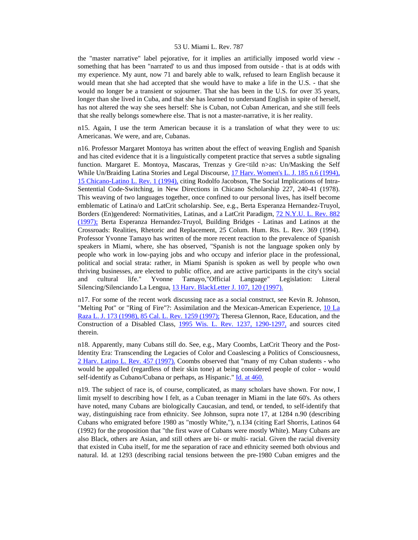the "master narrative" label pejorative, for it implies an artificially imposed world view something that has been "narrated' to us and thus imposed from outside - that is at odds with my experience. My aunt, now 71 and barely able to walk, refused to learn English because it would mean that she had accepted that she would have to make a life in the U.S. - that she would no longer be a transient or sojourner. That she has been in the U.S. for over 35 years, longer than she lived in Cuba, and that she has learned to understand English in spite of herself, has not altered the way she sees herself: She is Cuban, not Cuban American, and she still feels that she really belongs somewhere else. That is not a master-narrative, it is her reality.

n15. Again, I use the term American because it is a translation of what they were to us: Americanas. We were, and are, Cubanas.

n16. Professor Margaret Montoya has written about the effect of weaving English and Spanish and has cited evidence that it is a linguistically competent practice that serves a subtle signaling function. Margaret E. Montoya, Mascaras, Trenzas y Gre<tild n>as: Un/Masking the Self While Un/Braiding Latina Stories and Legal Discourse, 17 Harv. Women's L. J. 185 n.6 (1994), [15 Chicano-Latino L. Rev. 1 \(1994\),](http://www.lexis.com/research/xlink?searchtype=get&search=17%20Harv.%20Women) citing Rodolfo Jacobson, The Social Implications of Intra-Sentential Code-Switching, in New Directions in Chicano Scholarship 227, 240-41 (1978). This weaving of two languages together, once confined to our personal lives, has itself become emblematic of Latina/o and LatCrit scholarship. See, e.g., Berta Esperanza Hernandez-Truyol, Borders (En)gendered: Normativities, Latinas, and a LatCrit Paradigm, [72 N.Y.U. L. Rev. 882](http://www.lexis.com/research/xlink?searchtype=get&search=72%20N.Y.U.L.%20Rev.%20882)  [\(1997\);](http://www.lexis.com/research/xlink?searchtype=get&search=72%20N.Y.U.L.%20Rev.%20882) Berta Esperanza Hernandez-Truyol, Building Bridges - Latinas and Latinos at the Crossroads: Realities, Rhetoric and Replacement, 25 Colum. Hum. Rts. L. Rev. 369 (1994). Professor Yvonne Tamayo has written of the more recent reaction to the prevalence of Spanish speakers in Miami, where, she has observed, "Spanish is not the language spoken only by people who work in low-paying jobs and who occupy and inferior place in the professional, political and social strata: rather, in Miami Spanish is spoken as well by people who own thriving businesses, are elected to public office, and are active participants in the city's social and cultural life." Yvonne Tamayo,"Official Language" Legislation: Literal Silencing/Silenciando La Lengua, [13 Harv. BlackLetter J. 107, 120 \(1997\).](http://www.lexis.com/research/xlink?searchtype=get&search=13%20Harv.%20BlackLetter%20J.%20107,at%20120)

n17. For some of the recent work discussing race as a social construct, see Kevin R. Johnson, "Melting Pot" or "Ring of Fire"?: Assimilation and the Mexican-American Experience, [10 La](http://www.lexis.com/research/xlink?searchtype=get&search=10%20La%20Raza%20L.J.%20173)  [Raza L. J. 173 \(1998\), 85 Cal. L. Rev. 1259 \(1997\);](http://www.lexis.com/research/xlink?searchtype=get&search=10%20La%20Raza%20L.J.%20173) Theresa Glennon, Race, Education, and the Construction of a Disabled Class, [1995 Wis. L. Rev. 1237, 1290-1297,](http://www.lexis.com/research/xlink?searchtype=get&search=1995%20Wis.%20L.%20Rev.%201237,at%201290) and sources cited therein.

n18. Apparently, many Cubans still do. See, e.g., Mary Coombs, LatCrit Theory and the Post-Identity Era: Transcending the Legacies of Color and Coaslescing a Politics of Consciousness, [2 Harv. Latino L. Rev. 457 \(1997\).](http://www.lexis.com/research/xlink?searchtype=get&search=2%20Harv.%20Latino%20L.%20Rev.%20457) Coombs observed that "many of my Cuban students - who would be appalled (regardless of their skin tone) at being considered people of color - would self-identify as Cubano/Cubana or perhaps, as Hispanic." [Id. at 460.](http://www.lexis.com/research/xlink?searchtype=get&search=2%20Harv.%20Latino%20L.%20Rev.%20457,at%20460)

n19. The subject of race is, of course, complicated, as many scholars have shown. For now, I limit myself to describing how I felt, as a Cuban teenager in Miami in the late 60's. As others have noted, many Cubans are biologically Caucasian, and tend, or tended, to self-identify that way, distinguishing race from ethnicity. See Johnson, supra note 17, at 1284 n.90 (describing Cubans who emigrated before 1980 as "mostly White,"), n.134 (citing Earl Shorris, Latinos 64 (1992) for the proposition that "the first wave of Cubans were mostly White). Many Cubans are also Black, others are Asian, and still others are bi- or multi- racial. Given the racial diversity that existed in Cuba itself, for me the separation of race and ethnicity seemed both obvious and natural. Id. at 1293 (describing racial tensions between the pre-1980 Cuban emigres and the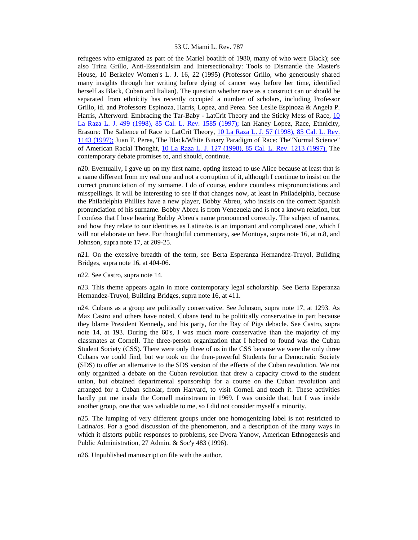refugees who emigrated as part of the Mariel boatlift of 1980, many of who were Black); see also Trina Grillo, Anti-Essentialsim and Intersectionality: Tools to Dismantle the Master's House, 10 Berkeley Women's L. J. 16, 22 (1995) (Professor Grillo, who generously shared many insights through her writing before dying of cancer way before her time, identified herself as Black, Cuban and Italian). The question whether race as a construct can or should be separated from ethnicity has recently occupied a number of scholars, including Professor Grillo, id. and Professors Espinoza, Harris, Lopez, and Perea. See Leslie Espinoza & Angela P. Harris, Afterword: Embracing the Tar-Baby - LatCrit Theory and the Sticky Mess of Race, [10](http://www.lexis.com/research/xlink?searchtype=get&search=10%20La%20Raza%20L.J.%20499)  [La Raza L. J. 499 \(1998\), 85 Cal. L. Rev. 1585 \(1997\);](http://www.lexis.com/research/xlink?searchtype=get&search=10%20La%20Raza%20L.J.%20499) Ian Haney Lopez, Race, Ethnicity, Erasure: The Salience of Race to LatCrit Theory, [10 La Raza L. J. 57 \(1998\), 85 Cal. L. Rev.](http://www.lexis.com/research/xlink?searchtype=get&search=10%20La%20Raza%20L.J.%2057)  [1143 \(1997\);](http://www.lexis.com/research/xlink?searchtype=get&search=10%20La%20Raza%20L.J.%2057) Juan F. Perea, The Black/White Binary Paradigm of Race: The"Normal Science" of American Racial Thought, [10 La Raza L. J. 127 \(1998\), 85 Cal. L. Rev. 1213 \(1997\).](http://www.lexis.com/research/xlink?searchtype=get&search=10%20La%20Raza%20L.J.%20127) The contemporary debate promises to, and should, continue.

n20. Eventually, I gave up on my first name, opting instead to use Alice because at least that is a name different from my real one and not a corruption of it, although I continue to insist on the correct pronunciation of my surname. I do of course, endure countless mispronunciations and misspellings. It will be interesting to see if that changes now, at least in Philadelphia, because the Philadelphia Phillies have a new player, Bobby Abreu, who insists on the correct Spanish pronunciation of his surname. Bobby Abreu is from Venezuela and is not a known relation, but I confess that I love hearing Bobby Abreu's name pronounced correctly. The subject of names, and how they relate to our identities as Latina/os is an important and complicated one, which I will not elaborate on here. For thoughtful commentary, see Montoya, supra note 16, at n.8, and Johnson, supra note 17, at 209-25.

n21. On the exessive breadth of the term, see Berta Esperanza Hernandez-Truyol, Building Bridges, supra note 16, at 404-06.

n22. See Castro, supra note 14.

n23. This theme appears again in more contemporary legal scholarship. See Berta Esperanza Hernandez-Truyol, Building Bridges, supra note 16, at 411.

n24. Cubans as a group are politically conservative. See Johnson, supra note 17, at 1293. As Max Castro and others have noted, Cubans tend to be politically conservative in part because they blame President Kennedy, and his party, for the Bay of Pigs debacle. See Castro, supra note 14, at 193. During the 60's, I was much more conservative than the majority of my classmates at Cornell. The three-person organization that I helped to found was the Cuban Student Society (CSS). There were only three of us in the CSS because we were the only three Cubans we could find, but we took on the then-powerful Students for a Democratic Society (SDS) to offer an alternative to the SDS version of the effects of the Cuban revolution. We not only organized a debate on the Cuban revolution that drew a capacity crowd to the student union, but obtained departmental sponsorship for a course on the Cuban revolution and arranged for a Cuban scholar, from Harvard, to visit Cornell and teach it. These activities hardly put me inside the Cornell mainstream in 1969. I was outside that, but I was inside another group, one that was valuable to me, so I did not consider myself a minority.

n25. The lumping of very different groups under one homogenizing label is not restricted to Latina/os. For a good discussion of the phenomenon, and a description of the many ways in which it distorts public responses to problems, see Dvora Yanow, American Ethnogenesis and Public Administration, 27 Admin. & Soc'y 483 (1996).

n26. Unpublished manuscript on file with the author.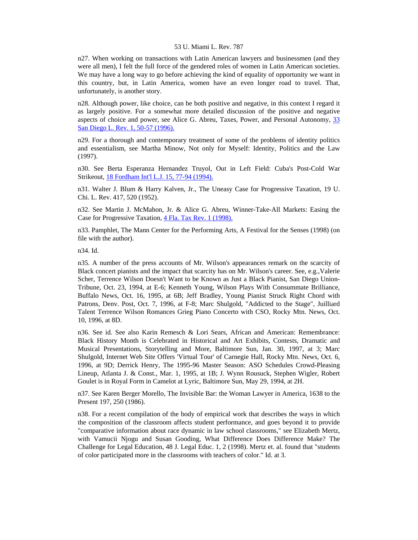n27. When working on transactions with Latin American lawyers and businessmen (and they were all men), I felt the full force of the gendered roles of women in Latin American societies. We may have a long way to go before achieving the kind of equality of opportunity we want in this country, but, in Latin America, women have an even longer road to travel. That, unfortunately, is another story.

n28. Although power, like choice, can be both positive and negative, in this context I regard it as largely positive. For a somewhat more detailed discussion of the positive and negative aspects of choice and power, see Alice G. Abreu, Taxes, Power, and Personal Autonomy, [33](http://www.lexis.com/research/xlink?searchtype=get&search=33%20San%20Diego%20L.%20Rev.%201,at%2050)  [San Diego L. Rev. 1, 50-57 \(1996\).](http://www.lexis.com/research/xlink?searchtype=get&search=33%20San%20Diego%20L.%20Rev.%201,at%2050)

n29. For a thorough and contemporary treatment of some of the problems of identity politics and essentialism, see Martha Minow, Not only for Myself: Identity, Politics and the Law (1997).

n30. See Berta Esperanza Hernandez Truyol, Out in Left Field: Cuba's Post-Cold War Strikeout, [18 Fordham Int'l L.J. 15, 77-94 \(1994\).](http://www.lexis.com/research/xlink?searchtype=get&search=18%20Fordham%20Int)

n31. Walter J. Blum & Harry Kalven, Jr., The Uneasy Case for Progressive Taxation, 19 U. Chi. L. Rev. 417, 520 (1952).

n32. See Martin J. McMahon, Jr. & Alice G. Abreu, Winner-Take-All Markets: Easing the Case for Progressive Taxation, [4 Fla. Tax Rev. 1 \(1998\).](http://www.lexis.com/research/xlink?searchtype=get&search=4%20Fla.%20Tax%20Rev.%201)

n33. Pamphlet, The Mann Center for the Performing Arts, A Festival for the Senses (1998) (on file with the author).

n34. Id.

n35. A number of the press accounts of Mr. Wilson's appearances remark on the scarcity of Black concert pianists and the impact that scarcity has on Mr. Wilson's career. See, e.g.,Valerie Scher, Terrence Wilson Doesn't Want to be Known as Just a Black Pianist, San Diego Union-Tribune, Oct. 23, 1994, at E-6; Kenneth Young, Wilson Plays With Consummate Brilliance, Buffalo News, Oct. 16, 1995, at 6B; Jeff Bradley, Young Pianist Struck Right Chord with Patrons, Denv. Post, Oct. 7, 1996, at F-8; Marc Shulgold, "Addicted to the Stage", Juilliard Talent Terrence Wilson Romances Grieg Piano Concerto with CSO, Rocky Mtn. News, Oct. 10, 1996, at 8D.

n36. See id. See also Karin Remesch & Lori Sears, African and American: Remembrance: Black History Month is Celebrated in Historical and Art Exhibits, Contests, Dramatic and Musical Presentations, Storytelling and More, Baltimore Sun, Jan. 30, 1997, at 3; Marc Shulgold, Internet Web Site Offers 'Virtual Tour' of Carnegie Hall, Rocky Mtn. News, Oct. 6, 1996, at 9D; Derrick Henry, The 1995-96 Master Season: ASO Schedules Crowd-Pleasing Lineup, Atlanta J. & Const., Mar. 1, 1995, at 1B; J. Wynn Rousuck, Stephen Wigler, Robert Goulet is in Royal Form in Camelot at Lyric, Baltimore Sun, May 29, 1994, at 2H.

n37. See Karen Berger Morello, The Invisible Bar: the Woman Lawyer in America, 1638 to the Present 197, 250 (1986).

n38. For a recent compilation of the body of empirical work that describes the ways in which the composition of the classroom affects student performance, and goes beyond it to provide "comparative information about race dynamic in law school classrooms," see Elizabeth Mertz, with Vamucii Njogu and Susan Gooding, What Difference Does Difference Make? The Challenge for Legal Education, 48 J. Legal Educ. 1, 2 (1998). Mertz et. al. found that "students of color participated more in the classrooms with teachers of color." Id. at 3.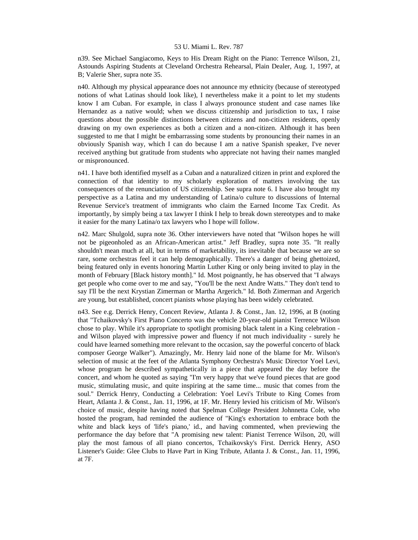n39. See Michael Sangiacomo, Keys to His Dream Right on the Piano: Terrence Wilson, 21, Astounds Aspiring Students at Cleveland Orchestra Rehearsal, Plain Dealer, Aug. 1, 1997, at B; Valerie Sher, supra note 35.

n40. Although my physical appearance does not announce my ethnicity (because of stereotyped notions of what Latinas should look like), I nevertheless make it a point to let my students know I am Cuban. For example, in class I always pronounce student and case names like Hernandez as a native would; when we discuss citizenship and jurisdiction to tax, I raise questions about the possible distinctions between citizens and non-citizen residents, openly drawing on my own experiences as both a citizen and a non-citizen. Although it has been suggested to me that I might be embarrassing some students by pronouncing their names in an obviously Spanish way, which I can do because I am a native Spanish speaker, I've never received anything but gratitude from students who appreciate not having their names mangled or mispronounced.

n41. I have both identified myself as a Cuban and a naturalized citizen in print and explored the connection of that identity to my scholarly exploration of matters involving the tax consequences of the renunciation of US citizenship. See supra note 6. I have also brought my perspective as a Latina and my understanding of Latina/o culture to discussions of Internal Revenue Service's treatment of immigrants who claim the Earned Income Tax Credit. As importantly, by simply being a tax lawyer I think I help to break down stereotypes and to make it easier for the many Latina/o tax lawyers who I hope will follow.

n42. Marc Shulgold, supra note 36. Other interviewers have noted that "Wilson hopes he will not be pigeonholed as an African-American artist." Jeff Bradley, supra note 35. "It really shouldn't mean much at all, but in terms of marketability, its inevitable that because we are so rare, some orchestras feel it can help demographically. There's a danger of being ghettoized, being featured only in events honoring Martin Luther King or only being invited to play in the month of February [Black history month]." Id. Most poignantly, he has observed that "I always get people who come over to me and say, "You'll be the next Andre Watts." They don't tend to say I'll be the next Krystian Zimerman or Martha Argerich." Id. Both Zimerman and Argerich are young, but established, concert pianists whose playing has been widely celebrated.

n43. See e.g. Derrick Henry, Concert Review, Atlanta J. & Const., Jan. 12, 1996, at B (noting that "Tchaikovsky's First Piano Concerto was the vehicle 20-year-old pianist Terrence Wilson chose to play. While it's appropriate to spotlight promising black talent in a King celebration and Wilson played with impressive power and fluency if not much individuality - surely he could have learned something more relevant to the occasion, say the powerful concerto of black composer George Walker"). Amazingly, Mr. Henry laid none of the blame for Mr. Wilson's selection of music at the feet of the Atlanta Symphony Orchestra's Music Director Yoel Levi, whose program he described sympathetically in a piece that appeared the day before the concert, and whom he quoted as saying "I'm very happy that we've found pieces that are good music, stimulating music, and quite inspiring at the same time... music that comes from the soul." Derrick Henry, Conducting a Celebration: Yoel Levi's Tribute to King Comes from Heart, Atlanta J. & Const., Jan. 11, 1996, at 1F. Mr. Henry levied his criticism of Mr. Wilson's choice of music, despite having noted that Spelman College President Johnnetta Cole, who hosted the program, had reminded the audience of "King's exhortation to embrace both the white and black keys of 'life's piano,' id., and having commented, when previewing the performance the day before that "A promising new talent: Pianist Terrence Wilson, 20, will play the most famous of all piano concertos, Tchaikovsky's First. Derrick Henry, ASO Listener's Guide: Glee Clubs to Have Part in King Tribute, Atlanta J. & Const., Jan. 11, 1996, at 7F.